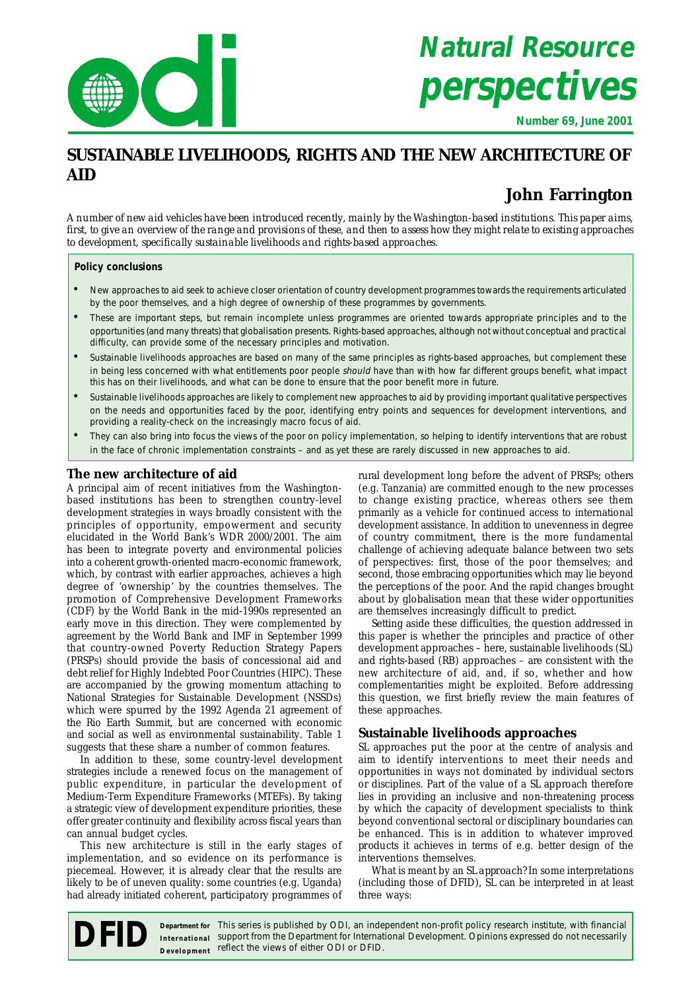

# **Natural Resource perspectives**

**Number 69, June 2001**

# **SUSTAINABLE LIVELIHOODS, RIGHTS AND THE NEW ARCHITECTURE OF AID**

# **John Farrington**

*A number of new aid vehicles have been introduced recently, mainly by the Washington-based institutions. This paper aims, first, to give an overview of the range and provisions of these, and then to assess how they might relate to existing approaches to development, specifically sustainable livelihoods and rights-based approaches.*

#### **Policy conclusions**

- New approaches to aid seek to achieve closer orientation of country development programmes towards the requirements articulated by the poor themselves, and a high degree of ownership of these programmes by governments.
- These are important steps, but remain incomplete unless programmes are oriented towards appropriate principles and to the opportunities (and many threats) that globalisation presents. Rights-based approaches, although not without conceptual and practical difficulty, can provide some of the necessary principles and motivation.
- Sustainable livelihoods approaches are based on many of the same principles as rights-based approaches, but complement these in being less concerned with what entitlements poor people should have than with how far different groups benefit, what impact this has on their livelihoods, and what can be done to ensure that the poor benefit more in future.
- Sustainable livelihoods approaches are likely to complement new approaches to aid by providing important qualitative perspectives on the needs and opportunities faced by the poor, identifying entry points and sequences for development interventions, and providing a reality-check on the increasingly macro focus of aid.
- They can also bring into focus the views of the poor on policy implementation, so helping to identify interventions that are robust in the face of chronic implementation constraints – and as yet these are rarely discussed in new approaches to aid.

# **The new architecture of aid**

A principal aim of recent initiatives from the Washingtonbased institutions has been to strengthen country-level development strategies in ways broadly consistent with the principles of opportunity, empowerment and security elucidated in the World Bank's WDR 2000/2001. The aim has been to integrate poverty and environmental policies into a coherent growth-oriented macro-economic framework, which, by contrast with earlier approaches, achieves a high degree of 'ownership' by the countries themselves. The promotion of Comprehensive Development Frameworks (CDF) by the World Bank in the mid-1990s represented an early move in this direction. They were complemented by agreement by the World Bank and IMF in September 1999 that country-owned Poverty Reduction Strategy Papers (PRSPs) should provide the basis of concessional aid and debt relief for Highly Indebted Poor Countries (HIPC). These are accompanied by the growing momentum attaching to National Strategies for Sustainable Development (NSSDs) which were spurred by the 1992 Agenda 21 agreement of the Rio Earth Summit, but are concerned with economic and social as well as environmental sustainability. Table 1 suggests that these share a number of common features.

In addition to these, some country-level development strategies include a renewed focus on the management of public expenditure, in particular the development of Medium-Term Expenditure Frameworks (MTEFs). By taking a strategic view of development expenditure priorities, these offer greater continuity and flexibility across fiscal years than can annual budget cycles.

This new architecture is still in the early stages of implementation, and so evidence on its performance is piecemeal. However, it is already clear that the results are likely to be of uneven quality: some countries (e.g. Uganda) had already initiated coherent, participatory programmes of rural development long before the advent of PRSPs; others (e.g. Tanzania) are committed enough to the new processes to change existing practice, whereas others see them primarily as a vehicle for continued access to international development assistance. In addition to unevenness in degree of country commitment, there is the more fundamental challenge of achieving adequate balance between two sets of perspectives: first, those of the poor themselves; and second, those embracing opportunities which may lie beyond the perceptions of the poor. And the rapid changes brought about by globalisation mean that these wider opportunities are themselves increasingly difficult to predict.

Setting aside these difficulties, the question addressed in this paper is whether the principles and practice of other development approaches – here, sustainable livelihoods (SL) and rights-based (RB) approaches – are consistent with the new architecture of aid, and, if so, whether and how complementarities might be exploited. Before addressing this question, we first briefly review the main features of these approaches.

# **Sustainable livelihoods approaches**

SL approaches put the poor at the centre of analysis and aim to identify interventions to meet their needs and opportunities in ways not dominated by individual sectors or disciplines. Part of the value of a SL approach therefore lies in providing an inclusive and non-threatening *process* by which the capacity of development specialists to think beyond conventional sectoral or disciplinary boundaries can be enhanced. This is in addition to whatever improved *products* it achieves in terms of e.g. better design of the interventions themselves.

What is meant by an SL *approach*? In some interpretations (including those of DFID), SL can be interpreted in at least three ways:

**Department for** This series is published by ODI, an independent non-profit policy research institute, with financial **Support from This series is published by ODI**, an independent non-profit policy research institute, with financial performational Support from the Department for International Development. Opinions expressed do not necess **International** Development reflect the views of either ODI or DFID.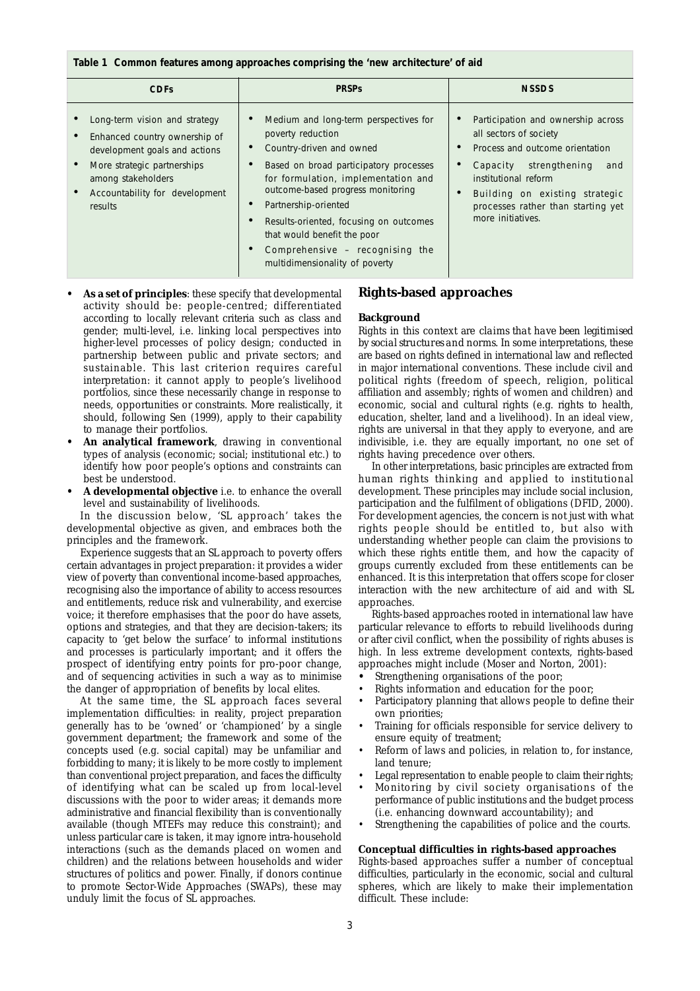#### **Table 1 Common features among approaches comprising the 'new architecture' of aid**

| <b>CDFs</b>                                                                                                                                                                                       | <b>PRSPs</b>                                                                                                                                                                                                                                                                                                                                                                       | <b>NSSDS</b>                                                                                                                                                                                                                                          |
|---------------------------------------------------------------------------------------------------------------------------------------------------------------------------------------------------|------------------------------------------------------------------------------------------------------------------------------------------------------------------------------------------------------------------------------------------------------------------------------------------------------------------------------------------------------------------------------------|-------------------------------------------------------------------------------------------------------------------------------------------------------------------------------------------------------------------------------------------------------|
| Long-term vision and strategy<br>Enhanced country ownership of<br>development goals and actions<br>More strategic partnerships<br>among stakeholders<br>Accountability for development<br>results | Medium and long-term perspectives for<br>poverty reduction<br>Country-driven and owned<br>Based on broad participatory processes<br>for formulation, implementation and<br>outcome-based progress monitoring<br>Partnership-oriented<br>Results-oriented, focusing on outcomes<br>that would benefit the poor<br>Comprehensive - recognising the<br>multidimensionality of poverty | Participation and ownership across<br>all sectors of society<br>Process and outcome orientation<br>Capacity strengthening<br>and<br>institutional reform<br>Building on existing strategic<br>processes rather than starting yet<br>more initiatives. |

- **As a set of principles**: these specify that developmental activity should be: people-centred; differentiated according to locally relevant criteria such as class and gender; multi-level, i.e. linking local perspectives into higher-level processes of policy design; conducted in partnership between public and private sectors; and sustainable. This last criterion requires careful interpretation: it cannot apply to people's livelihood portfolios, since these necessarily change in response to needs, opportunities or constraints. More realistically, it should, following Sen (1999), apply to their *capability* to manage their portfolios.
- An analytical framework, drawing in conventional types of analysis (economic; social; institutional etc.) to identify how poor people's options and constraints can best be understood.
- **A developmental objective** i.e. to enhance the overall level and sustainability of livelihoods.

In the discussion below, 'SL approach' takes the developmental objective as given, and embraces both the principles and the framework.

Experience suggests that an SL approach to poverty offers certain advantages in project preparation: it provides a wider view of poverty than conventional income-based approaches, recognising also the importance of ability to access resources and entitlements, reduce risk and vulnerability, and exercise voice; it therefore emphasises that the poor *do* have assets, options and strategies, and that they are decision-takers; its capacity to 'get below the surface' to informal institutions and processes is particularly important; and it offers the prospect of identifying entry points for pro-poor change, and of sequencing activities in such a way as to minimise the danger of appropriation of benefits by local elites.

At the same time, the SL approach faces several implementation difficulties: in reality, project preparation generally has to be 'owned' or 'championed' by a single government department; the framework and some of the concepts used (e.g. social capital) may be unfamiliar and forbidding to many; it is likely to be more costly to implement than conventional project preparation, and faces the difficulty of identifying what can be scaled up from local-level discussions with the poor to wider areas; it demands more administrative and financial flexibility than is conventionally available (though MTEFs may reduce this constraint); and unless particular care is taken, it may ignore intra-household interactions (such as the demands placed on women and children) and the relations between households and wider structures of politics and power. Finally, if donors continue to promote Sector-Wide Approaches (SWAPs), these may unduly limit the focus of SL approaches.

# **Rights-based approaches**

#### **Background**

Rights in this context are *claims that have been legitimised by social structures and norms.* In some interpretations, these are based on rights defined in international law and reflected in major international conventions. These include civil and political rights (freedom of speech, religion, political affiliation and assembly; rights of women and children) and economic, social and cultural rights (e.g. rights to health, education, shelter, land and a livelihood). In an ideal view, rights are universal in that they apply to everyone, and are indivisible, i.e. they are equally important, no one set of rights having precedence over others.

In other interpretations, basic principles are extracted from human rights thinking and applied to institutional development. These principles may include social inclusion, participation and the fulfilment of obligations (DFID, 2000). For development agencies, the concern is not just with what rights people *should* be entitled to, but also with understanding whether people can claim the provisions to which these rights entitle them, and how the capacity of groups currently excluded from these entitlements can be enhanced. It is this interpretation that offers scope for closer interaction with the new architecture of aid and with SL approaches.

Rights-based approaches rooted in international law have particular relevance to efforts to rebuild livelihoods during or after civil conflict, when the possibility of rights abuses is high. In less extreme development contexts, rights-based approaches might include (Moser and Norton, 2001):

- **•** Strengthening organisations of the poor;
- Rights information and education for the poor;
- Participatory planning that allows people to define their own priorities;
- Training for officials responsible for service delivery to ensure equity of treatment;
- Reform of laws and policies, in relation to, for instance, land tenure;
- Legal representation to enable people to claim their rights;
- Monitoring by civil society organisations of the performance of public institutions and the budget process (i.e. enhancing downward accountability); and
- Strengthening the capabilities of police and the courts.

#### **Conceptual difficulties in rights-based approaches**

Rights-based approaches suffer a number of conceptual difficulties, particularly in the economic, social and cultural spheres, which are likely to make their implementation difficult. These include: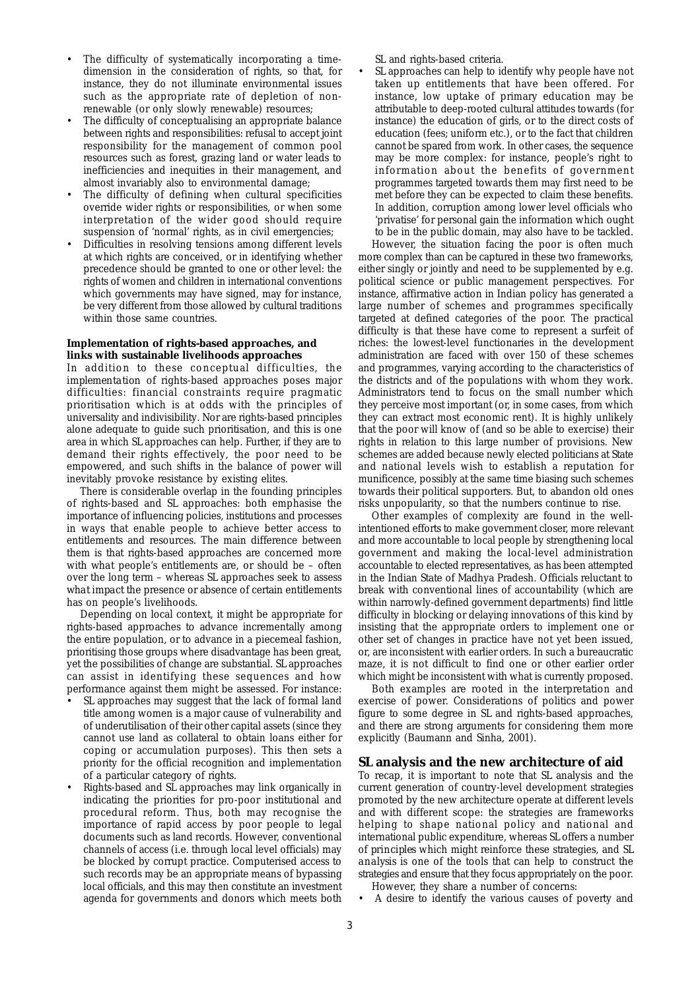- The difficulty of systematically incorporating a timedimension in the consideration of rights, so that, for instance, they do not illuminate environmental issues such as the appropriate rate of depletion of nonrenewable (or only slowly renewable) resources;
- The difficulty of conceptualising an appropriate balance between rights and responsibilities: refusal to accept joint responsibility for the management of common pool resources such as forest, grazing land or water leads to inefficiencies and inequities in their management, and almost invariably also to environmental damage;
- The difficulty of defining when cultural specificities override wider rights or responsibilities, or when some interpretation of the wider good should require suspension of 'normal' rights, as in civil emergencies;
- Difficulties in resolving tensions among different levels at which rights are conceived, or in identifying whether precedence should be granted to one or other level: the rights of women and children in international conventions which governments may have signed, may for instance, be very different from those allowed by cultural traditions within those same countries.

### **Implementation of rights-based approaches, and links with sustainable livelihoods approaches**

In addition to these conceptual difficulties, the *implementation* of rights-based approaches poses major difficulties: financial constraints require pragmatic prioritisation which is at odds with the principles of universality and indivisibility. Nor are rights-based principles alone adequate to guide such prioritisation, and this is one area in which SL approaches can help. Further, if they are to demand their rights effectively, the poor need to be empowered, and such shifts in the balance of power will inevitably provoke resistance by existing elites.

There is considerable overlap in the founding principles of rights-based and SL approaches: both emphasise the importance of influencing policies, institutions and processes in ways that enable people to achieve better access to entitlements and resources. The main difference between them is that rights-based approaches are concerned more with *what* people's entitlements are, or should be – often over the long term – whereas SL approaches seek to assess *what impact* the presence or absence of certain entitlements has on people's livelihoods.

Depending on local context, it might be appropriate for rights-based approaches to advance incrementally among the entire population, or to advance in a piecemeal fashion, prioritising those groups where disadvantage has been great, yet the possibilities of change are substantial. SL approaches can assist in identifying these sequences and how performance against them might be assessed. For instance:

- SL approaches may suggest that the lack of formal land title among women is a major cause of vulnerability and of underutilisation of their other capital assets (since they cannot use land as collateral to obtain loans either for coping or accumulation purposes). This then sets a priority for the official recognition and implementation of a particular category of rights.
- Rights-based and SL approaches may link organically in indicating the priorities for pro-poor institutional and procedural reform. Thus, both may recognise the importance of rapid access by poor people to legal documents such as land records. However, conventional channels of access (i.e. through local level officials) may be blocked by corrupt practice. Computerised access to such records may be an appropriate means of bypassing local officials, and this may then constitute an investment agenda for governments and donors which meets both

SL and rights-based criteria.

SL approaches can help to identify why people have not taken up entitlements that have been offered. For instance, low uptake of primary education may be attributable to deep-rooted cultural attitudes towards (for instance) the education of girls, or to the direct costs of education (fees; uniform etc.), or to the fact that children cannot be spared from work. In other cases, the sequence may be more complex: for instance, people's right to information about the benefits of government programmes targeted towards them may first need to be met before they can be expected to claim these benefits. In addition, corruption among lower level officials who 'privatise' for personal gain the information which ought to be in the public domain, may also have to be tackled.

However, the situation facing the poor is often much more complex than can be captured in these two frameworks, either singly or jointly and need to be supplemented by e.g. political science or public management perspectives. For instance, affirmative action in Indian policy has generated a large number of schemes and programmes specifically targeted at defined categories of the poor. The practical difficulty is that these have come to represent a surfeit of riches: the lowest-level functionaries in the development administration are faced with over 150 of these schemes and programmes, varying according to the characteristics of the districts and of the populations with whom they work. Administrators tend to focus on the small number which they perceive most important (or, in some cases, from which they can extract most economic rent). It is highly unlikely that the poor will know of (and so be able to exercise) their rights in relation to this large number of provisions. New schemes are added because newly elected politicians at State and national levels wish to establish a reputation for munificence, possibly at the same time biasing such schemes towards their political supporters. But, to abandon old ones risks unpopularity, so that the numbers continue to rise.

Other examples of complexity are found in the wellintentioned efforts to make government closer, more relevant and more accountable to local people by strengthening local government and making the local-level administration accountable to elected representatives, as has been attempted in the Indian State of Madhya Pradesh. Officials reluctant to break with conventional lines of accountability (which are within narrowly-defined government departments) find little difficulty in blocking or delaying innovations of this kind by insisting that the appropriate orders to implement one or other set of changes in practice have not yet been issued, or, are inconsistent with earlier orders. In such a bureaucratic maze, it is not difficult to find one or other earlier order which might be inconsistent with what is currently proposed.

Both examples are rooted in the interpretation and exercise of power. Considerations of politics and power figure to some degree in SL and rights-based approaches, and there are strong arguments for considering them more explicitly (Baumann and Sinha, 2001).

## **SL analysis and the new architecture of aid**

To recap, it is important to note that SL analysis and the current generation of country-level development strategies promoted by the new architecture operate at different levels and with different scope: the strategies are frameworks helping to shape national policy and national and international public expenditure, whereas SL offers a number of *principles* which might reinforce these strategies, and SL *analysis* is one of the tools that can help to construct the strategies and ensure that they focus appropriately on the poor.

- However, they share a number of concerns:
- A desire to identify the various causes of poverty and